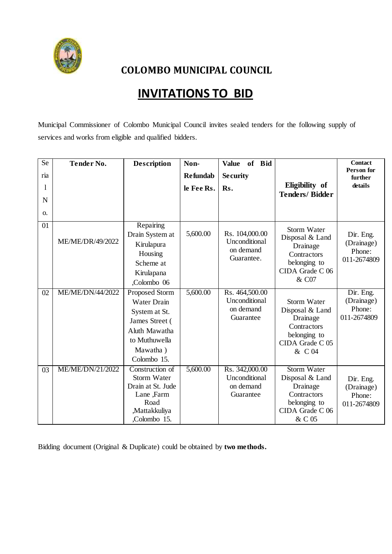

**COLOMBO MUNICIPAL COUNCIL**

## **INVITATIONS TO BID**

Municipal Commissioner of Colombo Municipal Council invites sealed tenders for the following supply of services and works from eligible and qualified bidders.

| Se        | <b>Tender No.</b> | <b>Description</b>                                                                                                                          | Non-            | of Bid<br><b>Value</b>                                     |                                                                                                               | <b>Contact</b>                                   |
|-----------|-------------------|---------------------------------------------------------------------------------------------------------------------------------------------|-----------------|------------------------------------------------------------|---------------------------------------------------------------------------------------------------------------|--------------------------------------------------|
| ria       |                   |                                                                                                                                             | <b>Refundab</b> | <b>Security</b>                                            |                                                                                                               | <b>Person for</b><br>further                     |
| 1         |                   |                                                                                                                                             | le Fee Rs.      | Rs.                                                        | Eligibility of                                                                                                | details                                          |
| N         |                   |                                                                                                                                             |                 |                                                            | <b>Tenders/Bidder</b>                                                                                         |                                                  |
| <b>O.</b> |                   |                                                                                                                                             |                 |                                                            |                                                                                                               |                                                  |
| 01        | ME/ME/DR/49/2022  | Repairing<br>Drain System at<br>Kirulapura<br>Housing<br>Scheme at<br>Kirulapana<br>Colombo 06                                              | 5,600.00        | Rs. 104,000.00<br>Unconditional<br>on demand<br>Guarantee. | <b>Storm Water</b><br>Disposal & Land<br>Drainage<br>Contractors<br>belonging to<br>CIDA Grade C 06<br>& C07  | Dir. Eng.<br>(Drainage)<br>Phone:<br>011-2674809 |
| 02        | ME/ME/DN/44/2022  | <b>Proposed Storm</b><br><b>Water Drain</b><br>System at St.<br>James Street (<br>Aluth Mawatha<br>to Muthuwella<br>Mawatha)<br>Colombo 15. | 5,600.00        | Rs. 464,500.00<br>Unconditional<br>on demand<br>Guarantee  | <b>Storm Water</b><br>Disposal & Land<br>Drainage<br>Contractors<br>belonging to<br>CIDA Grade C 05<br>& C 04 | Dir. Eng.<br>(Drainage)<br>Phone:<br>011-2674809 |
| 03        | ME/ME/DN/21/2022  | Construction of<br><b>Storm Water</b><br>Drain at St. Jude<br>Lane, Farm<br>Road<br>,Mattakkuliya<br>,Colombo 15.                           | 5,600.00        | Rs. 342,000.00<br>Unconditional<br>on demand<br>Guarantee  | <b>Storm Water</b><br>Disposal & Land<br>Drainage<br>Contractors<br>belonging to<br>CIDA Grade C 06<br>& C 05 | Dir. Eng.<br>(Drainage)<br>Phone:<br>011-2674809 |

Bidding document (Original & Duplicate) could be obtained by **two methods.**